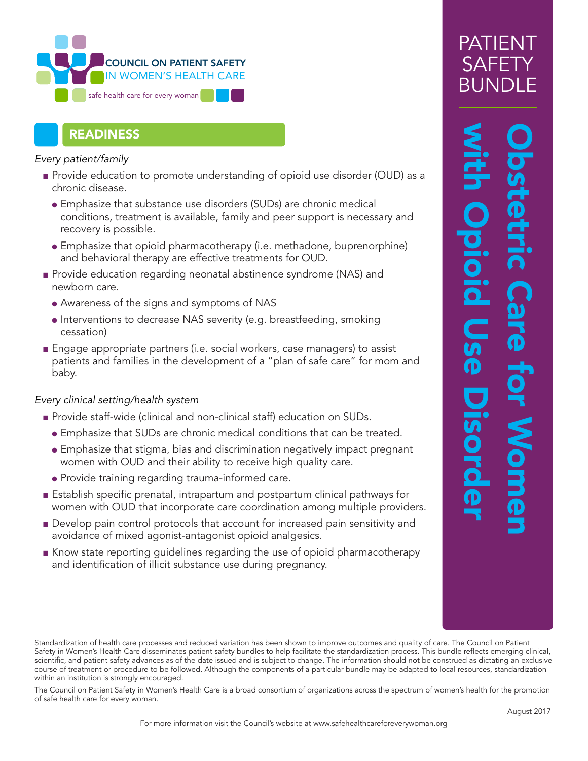

## READINESS

*Every patient/family* 

- Provide education to promote understanding of opioid use disorder (OUD) as a chronic disease.
	- Emphasize that substance use disorders (SUDs) are chronic medical conditions, treatment is available, family and peer support is necessary and recovery is possible.
	- Emphasize that opioid pharmacotherapy (i.e. methadone, buprenorphine) and behavioral therapy are effective treatments for OUD.
- Provide education regarding neonatal abstinence syndrome (NAS) and newborn care.
	- Awareness of the signs and symptoms of NAS
	- Interventions to decrease NAS severity (e.g. breastfeeding, smoking cessation)
- Engage appropriate partners (i.e. social workers, case managers) to assist patients and families in the development of a "plan of safe care" for mom and baby.

## *Every clinical setting/health system*

- Provide staff-wide (clinical and non-clinical staff) education on SUDs.
	- Emphasize that SUDs are chronic medical conditions that can be treated.
	- Emphasize that stigma, bias and discrimination negatively impact pregnant women with OUD and their ability to receive high quality care.
	- Provide training regarding trauma-informed care.
- Establish specific prenatal, intrapartum and postpartum clinical pathways for women with OUD that incorporate care coordination among multiple providers.
- Develop pain control protocols that account for increased pain sensitivity and avoidance of mixed agonist-antagonist opioid analgesics.
- Know state reporting guidelines regarding the use of opioid pharmacotherapy and identification of illicit substance use during pregnancy.

## Obstetric Care for Women<br>with Opioid Use Disorder pioid **Jse Disord**

Standardization of health care processes and reduced variation has been shown to improve outcomes and quality of care. The Council on Patient Safety in Women's Health Care disseminates patient safety bundles to help facilitate the standardization process. This bundle reflects emerging clinical, scientific, and patient safety advances as of the date issued and is subject to change. The information should not be construed as dictating an exclusive course of treatment or procedure to be followed. Although the components of a particular bundle may be adapted to local resources, standardization within an institution is strongly encouraged.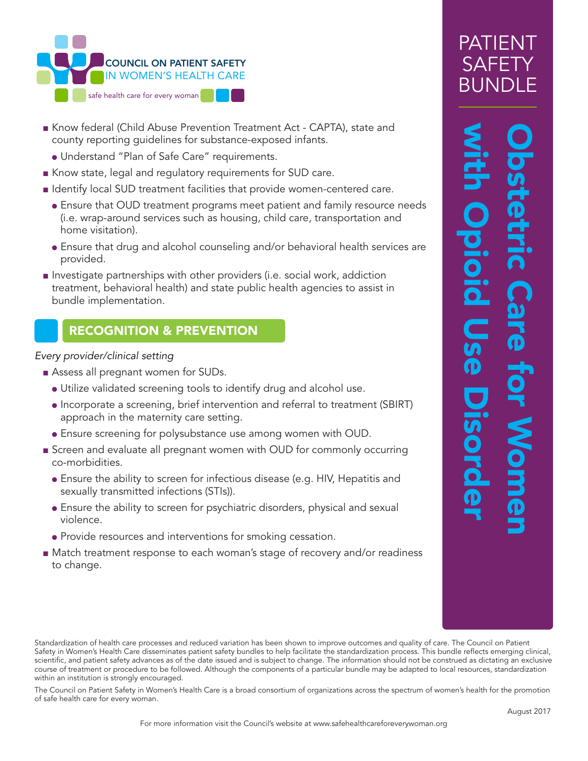

- Know federal (Child Abuse Prevention Treatment Act CAPTA), state and county reporting guidelines for substance-exposed infants.
- Understand "Plan of Safe Care" requirements.
- Know state, legal and regulatory requirements for SUD care.
- Identify local SUD treatment facilities that provide women-centered care.
	- Ensure that OUD treatment programs meet patient and family resource needs (i.e. wrap-around services such as housing, child care, transportation and home visitation).
	- Ensure that drug and alcohol counseling and/or behavioral health services are provided.
- Investigate partnerships with other providers (i.e. social work, addiction treatment, behavioral health) and state public health agencies to assist in bundle implementation.

## RECOGNITION & PREVENTION

### *Every provider/clinical setting*

- Assess all pregnant women for SUDs.
	- Utilize validated screening tools to identify drug and alcohol use.
	- Incorporate a screening, brief intervention and referral to treatment (SBIRT) approach in the maternity care setting.
	- Ensure screening for polysubstance use among women with OUD.
- Screen and evaluate all pregnant women with OUD for commonly occurring co-morbidities.
	- Ensure the ability to screen for infectious disease (e.g. HIV, Hepatitis and sexually transmitted infections (STIs)).
	- Ensure the ability to screen for psychiatric disorders, physical and sexual violence.
	- Provide resources and interventions for smoking cessation.
- Match treatment response to each woman's stage of recovery and/or readiness to change.

## PATIENT SAF BUN

## Obstetric Care for Women<br>with Opioid Use Disorder DIOIC **GO** Disord

Standardization of health care processes and reduced variation has been shown to improve outcomes and quality of care. The Council on Patient Safety in Women's Health Care disseminates patient safety bundles to help facilitate the standardization process. This bundle reflects emerging clinical, scientific, and patient safety advances as of the date issued and is subject to change. The information should not be construed as dictating an exclusive course of treatment or procedure to be followed. Although the components of a particular bundle may be adapted to local resources, standardization within an institution is strongly encouraged.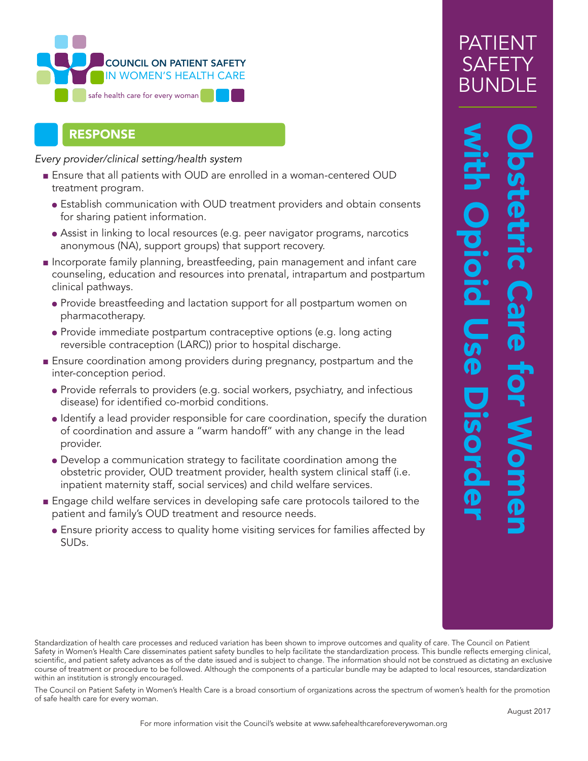

## RESPONSE

*Every provider/clinical setting/health system* 

- Ensure that all patients with OUD are enrolled in a woman-centered OUD treatment program.
	- Establish communication with OUD treatment providers and obtain consents for sharing patient information.
	- Assist in linking to local resources (e.g. peer navigator programs, narcotics anonymous (NA), support groups) that support recovery.
- Incorporate family planning, breastfeeding, pain management and infant care counseling, education and resources into prenatal, intrapartum and postpartum clinical pathways.
	- Provide breastfeeding and lactation support for all postpartum women on pharmacotherapy.
	- Provide immediate postpartum contraceptive options (e.g. long acting reversible contraception (LARC)) prior to hospital discharge.
- Ensure coordination among providers during pregnancy, postpartum and the inter-conception period.
	- Provide referrals to providers (e.g. social workers, psychiatry, and infectious disease) for identified co-morbid conditions.
	- Identify a lead provider responsible for care coordination, specify the duration of coordination and assure a "warm handoff" with any change in the lead provider.
	- Develop a communication strategy to facilitate coordination among the obstetric provider, OUD treatment provider, health system clinical staff (i.e. inpatient maternity staff, social services) and child welfare services.
- Engage child welfare services in developing safe care protocols tailored to the patient and family's OUD treatment and resource needs.
	- Ensure priority access to quality home visiting services for families affected by SUDs.

# Obstetric Care for Women<br>with Opioid Use Disorder **PS** Disord

Standardization of health care processes and reduced variation has been shown to improve outcomes and quality of care. The Council on Patient Safety in Women's Health Care disseminates patient safety bundles to help facilitate the standardization process. This bundle reflects emerging clinical, scientific, and patient safety advances as of the date issued and is subject to change. The information should not be construed as dictating an exclusive course of treatment or procedure to be followed. Although the components of a particular bundle may be adapted to local resources, standardization within an institution is strongly encouraged.